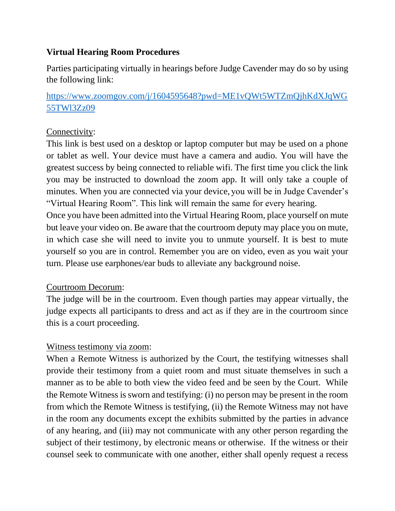## **Virtual Hearing Room Procedures**

Parties participating virtually in hearings before Judge Cavender may do so by using the following link:

# [https://www.zoomgov.com/j/1604595648?pwd=ME1vQWt5WTZmQjhKdXJqWG](https://www.zoomgov.com/j/1604595648?pwd=ME1vQWt5WTZmQjhKdXJqWG55TWl3Zz09) [55TWl3Zz09](https://www.zoomgov.com/j/1604595648?pwd=ME1vQWt5WTZmQjhKdXJqWG55TWl3Zz09)

## Connectivity:

This link is best used on a desktop or laptop computer but may be used on a phone or tablet as well. Your device must have a camera and audio. You will have the greatest success by being connected to reliable wifi. The first time you click the link you may be instructed to download the zoom app. It will only take a couple of minutes. When you are connected via your device, you will be in Judge Cavender's "Virtual Hearing Room". This link will remain the same for every hearing.

Once you have been admitted into the Virtual Hearing Room, place yourself on mute but leave your video on. Be aware that the courtroom deputy may place you on mute, in which case she will need to invite you to unmute yourself. It is best to mute yourself so you are in control. Remember you are on video, even as you wait your turn. Please use earphones/ear buds to alleviate any background noise.

#### Courtroom Decorum:

The judge will be in the courtroom. Even though parties may appear virtually, the judge expects all participants to dress and act as if they are in the courtroom since this is a court proceeding.

#### Witness testimony via zoom:

When a Remote Witness is authorized by the Court, the testifying witnesses shall provide their testimony from a quiet room and must situate themselves in such a manner as to be able to both view the video feed and be seen by the Court. While the Remote Witness is sworn and testifying: (i) no person may be present in the room from which the Remote Witness is testifying, (ii) the Remote Witness may not have in the room any documents except the exhibits submitted by the parties in advance of any hearing, and (iii) may not communicate with any other person regarding the subject of their testimony, by electronic means or otherwise. If the witness or their counsel seek to communicate with one another, either shall openly request a recess